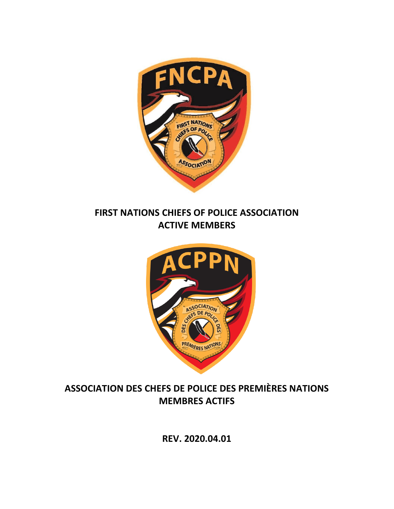

**FIRST NATIONS CHIEFS OF POLICE ASSOCIATION ACTIVE MEMBERS**



# **ASSOCIATION DES CHEFS DE POLICE DES PREMIÈRES NATIONS MEMBRES ACTIFS**

**REV. 2020.04.01**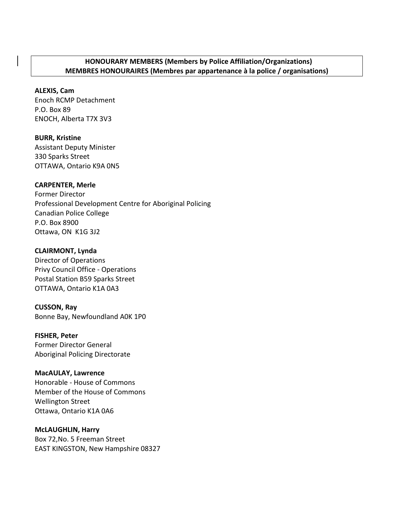## **HONOURARY MEMBERS (Members by Police Affiliation/Organizations) MEMBRES HONOURAIRES (Membres par appartenance à la police / organisations)**

## **ALEXIS, Cam**

Enoch RCMP Detachment P.O. Box 89 ENOCH, Alberta T7X 3V3

**BURR, Kristine** Assistant Deputy Minister 330 Sparks Street OTTAWA, Ontario K9A 0N5

## **CARPENTER, Merle**

Former Director Professional Development Centre for Aboriginal Policing Canadian Police College P.O. Box 8900 Ottawa, ON K1G 3J2

### **CLAIRMONT, Lynda**

Director of Operations Privy Council Office - Operations Postal Station B59 Sparks Street OTTAWA, Ontario K1A 0A3

#### **CUSSON, Ray**

Bonne Bay, Newfoundland A0K 1P0

#### **FISHER, Peter**

Former Director General Aboriginal Policing Directorate

## **MacAULAY, Lawrence**

Honorable - House of Commons Member of the House of Commons Wellington Street Ottawa, Ontario K1A 0A6

#### **McLAUGHLIN, Harry**

Box 72,No. 5 Freeman Street EAST KINGSTON, New Hampshire 08327